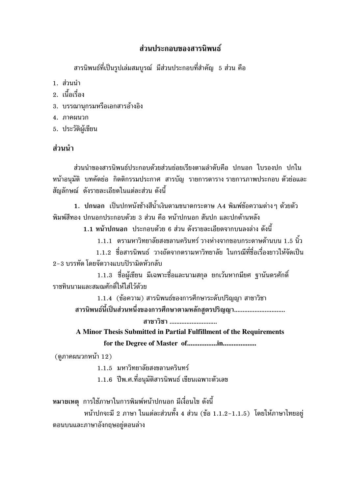### ส่วนประกอบของสารนิพนธ์

ี สารนิพนธ์ที่เป็นรูปเล่มสมบูรณ์ มีส่วนประกอบที่สำคัญ 5 ส่วน คือ

- 1. ส่วนนำ
- 2 เบื้อเรื่อง
- 3. บรรณานกรมหรือเอกสารอ้างอิง
- 4 ภาคผบวก
- 5. ประวัติผู้เขียน

### ส่วนนำ

้ส่วนนำของสารนิพนธ์ประกอบด้วยส่วนย่อยเรียงตามลำดับคือ ปกนอก ใบรองปก ปกใน หน้าอนมัติ บทคัดย่อ กิตติกรรมประกาศ สารบัญ รายการตารางรายการภาพประกอบ ตัวย่อและ ้สัญลักษณ์ ดังรายละเอียดในแต่ละส่วน ดังนี้

1. ปกนอก เป็นปกหนังช้างสีน้ำเงินตามขนาดกระดาษ A4 พิมพ์ข้อความต่างๆ ด้วยตัว ้พิมพ์สีทอง ปกนอกประกอบด้วย 3 ส่วน คือ หน้าปกนอก สันปก และปกด้านหลัง

1.1 หน้าปกนอก ประกอบด้วย 6 ส่วน ดังรายละเอียดจากบนลงล่าง ดังนี้

1.1.1 ตรามหาวิทยาลัยสงขลานครินทร์ วางห่างจากขอบกระดาษด้านบน 1.5 นิ้ว

1.1.2 ชื่อสารนิพนธ์ วางถัดจากตรามหาวิทยาลัย ในกรณีที่ชื่อเรื่องยาวให้จัดเป็น 2-3 บรรทัด โดยจัดวางแบบปิรามิดหัวกลับ

1.1.3 ชื่อผู้เขียน มีเฉพาะชื่อและนามสกุล ยกเว้นหากมียศ ฐานันดรศักดิ์ ราชทินนามและสมณศักดิ์ให้ใส่ไว้ด้วย

1.1.4 (ข้อความ) สารนิพนธ์ของการศึกษาระดับปริญญา สาขาวิชา สารนิพนธ์นี้เป็นส่วนหนึ่งของการศึกษาตามหลักสตรปริญญา................................

สาขาวิชา ............................

A Minor Thesis Submitted in Partial Fulfillment of the Requirements

(ดภาคผนวกหน้า 12)

1.1.5 มหาวิทยาลัยสงขลานครินทร์

1.1.6 ปีพ.ศ.ที่อนุมัติสารนิพนธ์ เขียนเฉพาะตัวเลข

หมายเหตุ การใช้ภาษาในการพิมพ์หน้าปกนอก มีเงื่อนไข ดังนี้

หน้าปกจะมี 2 ภาษา ในแต่ละส่วนทั้ง 4 ส่วน (ข้อ 1.1.2-1.1.5) โดยให้ภาษาไทยอยู่ ตอนบนและภาษาอังกฤษอยู่ตอนล่าง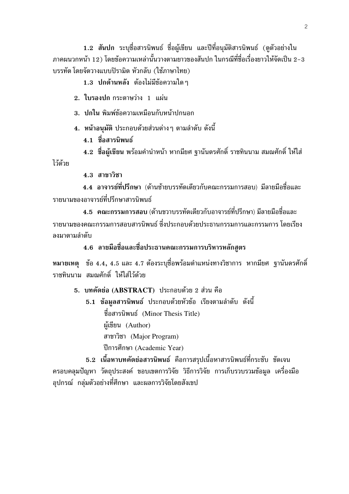1.2 สันปก ระบุชื่อสารนิพนธ์ ชื่อผู้เขียน และปีที่อนุมัติสารนิพนธ์ (ดูตัวอย่างใน ิภาคผนวกหน้า 12) โดยข้อความเหล่านั้นวางตามยาวของสันปก ในกรณีที่ชื่อเรื่องยาวให้จัดเป็น 2–3 ำเรรทัด โดยจัดวางแบบปิรามิด หัวกลับ (ใช้ภาษาไทย)

1.3 ปกด้านหลัง ต้องไม่มีข้อความใดๆ

2. ใบรองปก กระดาษว่าง 1 แผ่น

3. ปกใน พิมพ์ข้อความเหมือนกับหน้าปกนอก

่ 4. หน้าอนุมัติ ประกอบด้วยส่วนต่าง ๆ ตามลำดับ ดังนี้

4.1 ชื่อสารนิพนธ์

4.2 ชื่อผู้เขียน พร้อมคำนำหน้า หากมียศ ฐานันดรศักดิ์ ราชทินนาม สมณศักดิ์ ให้ใส่ ไว้ด้วย

 $4.3$  สาขาวิชา

4.4 อาจารย์ที่ปรึกษา (ด้านซ้ายบรรทัดเดียวกับคณะกรรมการสอบ) มีลายมือชื่อและ รายบามของอาจารย์ที่ปรึกษาสารบิพบธ์

4.5 คณะกรรมการสอบ (ด้านขวาบรรทัดเดียวกับอาจารย์ที่ปรึกษา) มีลายมือชื่อและ ้รายนามของคณะกรรมการสอบสารนิพนธ์ ซึ่งประกอบด้วยประธานกรรมการและกรรมการ โดยเรียง ลงบาตาบลำดับ

4.6 ลายมือชื่อและชื่อประธานคณะกรรมการบริหารหลักสูตร

ี หมายเหตุ ข้อ 4.4, 4.5 และ 4.7 ต้องระบุชื่อพร้อมตำแหน่งทางวิชาการ หากมียศ ฐานันดรศักดิ์ ราชทินนาม สมณศักดิ์ ให้ใส่ไว้ด้วย

5. บทคัดย่อ (ABSTRACT) ประกอบด้วย 2 ส่วน คือ

5.1 ข้อมูลสารนิพนธ์ ประกอบด้วยหัวข้อ เรียงตามลำดับ ดังนี้ ชื่อสารนิพนธ์ (Minor Thesis Title) ผู้เขียน (Author) สาขาวิชา (Major Program) ปีการศึกษา (Academic Year)

5.2 เนื้อหาบทคัดย่อสารนิพนธ์ คือการสรุปเนื้อหาสารนิพนธ์ที่กระชับ ชัดเจน ี ครอบคลุมปัญหา วัตถุประสงค์ ขอบเขตการวิจัย วิธีการวิจัย การเก็บรวบรวมข้อมูล เครื่องมือ ้อปกรณ์ กล่มตัวอย่างที่ศึกษา และผลการวิจัยโดยสังเขป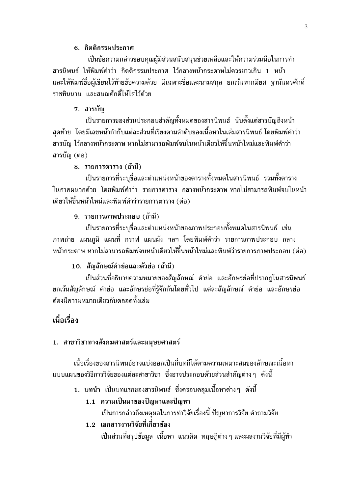#### 6. กิตติกรรมประกาศ

เป็นข้อความกล่าวขอบคุณผู้มีส่วนสนับสนุนช่วยเหลือและให้ความร่วมมือในการทำ สารนิพนธ์ ให้พิมพ์คำว่า กิตติกรรมประกาศ ไว้กลางหน้ากระดาษไม่ควรยาวเกิน 1 หน้า ี และให้พิมพ์ชื่อผู้เขียนไว้ท้ายข้อความด้วย มีเฉพาะชื่อและนามสกุล ยกเว้นหากมียศ ฐานันดรศักดิ์ ราชทินนาม และสมณศักดิ์ให้ใส่ไว้ด้วย

#### 7. สารบัญ

้เป็นรายการของส่วนประกอบสำคัญทั้งหมดของสารนิพนธ์ นับตั้งแต่สารบัญถึงหน้า ิสดท้าย โดยมีเลขหน้ากำกับแต่ละส่วนที่เรียงตามลำดับของเนื้อหาในเล่มสารนิพนธ์ โดยพิมพ์คำว่า ้สารบัญ ไว้กลางหน้ากระดาษ หากไม่สามารถพิมพ์จบในหน้าเดียวให้ขึ้นหน้าใหม่และพิมพ์คำว่า สารบัญ (ต่อ)

#### 8. รายการตาราง (ถ้ามี)

เป็นรายการที่ระบุชื่อและตำแหน่งหน้าของตารางทั้งหมดในสารนิพนธ์ รวมทั้งตาราง ในภาคผนวกด้วย โดยพิมพ์คำว่า รายการตาราง กลางหน้ากระดาษฺหากไม่สามารถพิมพ์จบในหน้า เดียวให้ขึ้นหน้าใหม่และพิมพ์คำว่ารายการตาราง (ต่อ)

#### 9. รายการภาพประกอบ (ถ้ามี)

เป็นรายการที่ระบุชื่อและตำแหน่งหน้าของภาพประกอบทั้งหมดในสารนิพนธ์ เช่น ิภาพถ่าย แผนภูมิ แผนที่ กราฟ แผนผัง ฯลฯ โดยพิมพ์คำว่า รายการภาพประกอบ กลาง หน้ากระดาษ หากไม่สามารถพิมพ์จบหน้าเดียวให้ขึ้นหน้าใหม่และพิมพ์ว่ารายการภาพประกอบ (ต่อ)

#### 10. สัญลักษณ์คำย่อและตัวย่อ (ถ้ามี)

้เป็นส่วนที่อธิบายความหมายของสัญลักษณ์ คำย่อ และอักษรย่อที่ปรากฏในสารนิพนธ์ ียกเว้นสัญลักษณ์ คำย่อ และอักษรย่อที่รู้จักกันโดยทั่วไป แต่ละสัญลักษณ์ คำย่อ และอักษรย่อ ต้องบีคาาบหบายเดียากับตลอดทั้งเล่บ

### ้เนื้อเรื่อง

#### 1. สาขาวิชาทางสังคมศาสตร์และมนุษยศาสตร์

เนื้อเรื่องของสารนิพนธ์อาจแบ่งออกเป็นกี่บทก็ได้ตามความเหมาะสมของลักษณะเนื้อหา ี แบบแผนของวิธีการวิจัยของแต่ละสาขาวิชา ซึ่งอาจประกอบด้วยส่วนสำคัญต่างๆ ดังนี้

- ่ 1. บทนำ เป็นบทแรกของสารนิพนธ์ ซึ่งครอบคลมเนื้อหาต่างๆ ดังนี้
	- 1.1 ความเป็นมาของปัญหาและปัญหา

เป็นการกล่าวถึงเหตุผลในการทำวิจัยเรื่องนี้ ปัญหาการวิจัย คำถามวิจัย

#### 1.2 เอกสารงานวิจัยที่เกี่ยวข้อง

เป็นส่วนที่สรุปข้อมูล เนื้อหา แนวคิด ทฤษฎีต่างๆ และผลงานวิจัยที่มีผู้ทำ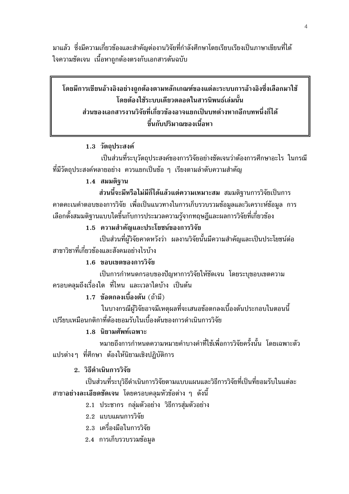้มาแล้ว ซึ่งมีความเกี่ยวข้องและสำคัญต่องานวิจัยที่กำลังศึกษาโดยเรียบเรียงเป็นภาษาเขียนที่ได้ ใจความชัดเจน เนื้อหาถูกต้องตรงกับเอกสารต้นฉบับ

## โดยมีการเขียนอ้างอิงอย่างถูกต้องตามหลักเกณฑ์ของแต่ละระบบการอ้างอิงซึ่งเลือกมาใช้ โดยต้องใช้ระบบเดียวตลอดในสารนิพนธ์เล่มนั้น ส่วนของเอกสารงานวิจัยที่เกี่ยวข้องอาจแยกเป็นบทต่างหากอีกบทหนึ่งก็ได้ ขึ้นกับปริมาณของเนื้อหา

#### 1.3 วัตถุประสงค์

้เป็นส่วนที่ระบุวัตถุประสงค์ของการวิจัยอย่างชัดเจนว่าต้องการศึกษาอะไร ในกรณี ี่ ที่มีวัตถุประสงค์หลายอย่าง ควรแยกเป็นข้อ ๆ เรียงตามลำดับความสำคัญ

#### 1.4 สมมติราน

้ส่วนนี้จะมีหรือไม่มีก็ได้แล้วแต่ความเหมาะสม สมมติฐานการวิจัยเป็นการ ิ คาดคะเนคำตอบของการวิจัย เพื่อเป็นแนวทางในการเก็บรวบรวมข้อมลและวิเคราะห์ข้อมล การ ้เลือกตั้งสมมติฐานแบบใดขึ้นกับการประมวลความร้จากทฤษฎีและผลการวิจัยที่เกี่ยวข้อง

#### 1.5 ความสำคัญและประโยชน์ของการวิจัย

้เป็นส่วนที่ผู้วิจัยคาดหวังว่า ผลงานวิจัยนั้นมีความสำคัญและเป็นประโยชน์ต่อ สาขาวิชาที่เกี่ยวข้องและสังคมอย่างไรบ้าง

#### 1.6 ขอบเขตของการวิจัย

เป็นการกำหนดกรอบของปัญหาการวิจัยให้ชัดเจน โดยระบุขอบเขตความ ้ครอบคลมถึงเรื่องใด ที่ไหน และเวลาใดบ้าง เป็นต้น

#### 1.7 ข้อตกลงเบื้องต้น (ถ้ามี)

ในบางกรณีผู้วิจัยอาจมีเหตุผลที่จะเสนอข้อตกลงเบื้องต้นประกอบในตอนนี้ เปรียบเหมือนกติกาที่ต้องยอมรับในเบื้องต้นของการดำเนินการวิจัย

#### 1.8 นิยามศัพท์เฉพาะ

หมายถึงการกำหนดความหมายคำบางคำที่ใช้เพื่อการวิจัยครั้งนั้น โดยเฉพาะตัว ี แปรต่าง ๆ ที่ศึกษา ต้องให้นิยามเชิงปฏิบัติการ

#### 2. วิธีดำเนินการวิจัย

เป็นส่วนที่ระบุวิธีดำเนินการวิจัยตามแบบแผนและวิธีการวิจัยที่เป็นที่ยอมรับในแต่ละ ี่สาขา<mark>อย่างละเอียดชัดเจน</mark> โดยครอบคลุมหัวข้อต่าง ๆ ดังนี้

- 2.1 ประชากร กลุ่มตัวอย่าง วิธีการสุ่มตัวอย่าง
- 2.2 แบบแผนการวิจัย
- 2.3 เครื่องมือในการวิจัย
- 2.4 การเก็บรวบรวมข้อมูล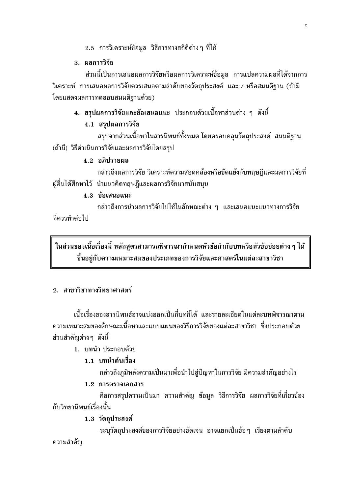- ่ 2.5 การวิเคราะห์ข้อมูล วิธีการทางสถิติต่างๆ ที่ใช้
- 3. ผลการวิจัย

้ส่วนนี้เป็นการเสนอผลการวิจัยหรือผลการวิเคราะห์ข้อมูล การแปลความผลที่ได้จากการ วิเคราะห์ การเสนอผลการวิจัยควรเสนอตามลำดับของวัตถุประสงค์ และ / หรือสมมติฐาน (ถ้ามี โดยแสดงผลการทดสอบสมมติฐานด้วย)

### 4. สรุปผลการวิจัยและข้อเสนอแนะ ประกอบด้วยเนื้อหาส่วนต่าง ๆ ดังนี้

#### 4.1 สรุปผลการวิจัย

้สรุปจากส่วนเนื้อหาในสารนิพนธ์ทั้งหมด โดยครอบคลุมวัตถุประสงค์ สมมติฐาน (ถ้ามี) วิธีดำเนินการวิจัยและผลการวิจัยโดยสรุป

#### 4.2 อภิปรายผล

ึกล่าวถึงผลการวิจัย วิเคราะห์ความสอดคล้องหรือขัดแย้งกับทฤษฎีและผลการวิจัยที่ ผู้อื่นได้ศึกษาไว้ นำแนวคิดทฤษฎีและผลการวิจัยมาสนับสนุน

#### 4.3 ข้อเสนอแนะ

ึกล่าวถึงการนำผลการวิจัยไปใช้ในลักษณะต่าง ๆ และเสนอแนะแนวทางการวิจัย ที่คารทำต่อไป

ในส่วนของเนื้อเรื่องนี้ หลักสูตรสามารถพิจารณากำหนดหัวข้อกำกับบทหรือหัวข้อย่อยต่าง ๆ ได้ ขึ้นอย่กับความเหมาะสมของประเภทของการวิจัยและศาสตร์ในแต่ละสาขาวิชา

#### 2. สาขาวิชาทางวิทยาศาสตร์

้เนื้อเรื่องของสารนิพนธ์อาจแบ่งออกเป็นกี่บทก็ได้ และรายละเอียดในแต่ละบทพิจารณาตาม ิ ความเหมาะสมของลักษณะเนื้อหาและแบบแผนของวิธีการวิจัยของแต่ละสาขาวิชา ซึ่งประกอบด้วย ้ส่วนสำคัญต่าง ๆ ดังนี้

#### 1. บทนำ ประกอบด้วย

### 1.1 บทนำต้นเรื่อง

กล่าวถึงภูมิหลังความเป็นมาเพื่อนำไปสู่ปัญหาในการวิจัย มีความสำคัญอย่างไร

#### 1.2 การตรวจเอกสาร

้คือการสรุปความเป็นมา ความสำคัญ ข้อมูล วิธีการวิจัย ผลการวิจัยที่เกี่ยวข้อง ้กับวิทยานิพนธ์เรื่องนั้น

#### 1.3 วัตถประสงค์

ระบุวัตถุประสงค์ของการวิจัยอย่างชัดเจน อาจแยกเป็นข้อๆ เรียงตามลำดับ ความสำคัญ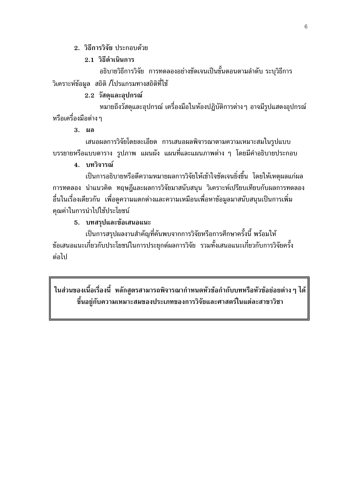#### 2. วิธีการวิจัย ประกอบด้วย

#### 2.1 วิธีดำเนินการ

้อธิบายวิธีการวิจัย การทดลองอย่างชัดเจนเป็นขั้นตอนตามลำดับ ระบุวิธีการ วิเคราะห์ข้อมูล สถิติ /โปรแกรมทางสถิติที่ใช้

#### 2.2 วัสดุและอุปกรณ์

่ หมายถึงวัสดุและอุปกรณ์ เครื่องมือในห้องปฏิบัติการต่าง ๆ อาจมีรูปแสดงอุปกรณ์ หรือเครื่องมือต่าง ๆ

3. ผล

เสนอผลการวิจัยโดยละเอียด การเสนอผลพิจารณาตามความเหมาะสมในรูปแบบ ิบรรยายหรือแบบตาราง รูปภาพ แผนผัง แผนที่และแผนภาพต่าง ๆ โดยมีคำอธิบายประกอบ

#### 4. บทวิจารณ์

เป็นการอธิบายหรือตีความหมายผลการวิจัยให้เข้าใจชัดเจนยิ่งขึ้น โดยให้เหตุผลแก่ผล ิการทดลอง นำแนวคิด ทฤษฎีและผลการวิจัยมาสนับสนุน วิเคราะห์เปรียบเทียบกับผลการทดลอง ้อื่นในเรื่องเดียวกัน เพื่อดูความแตกต่างและความเหมือนเพื่อหาข้อมูลมาสนับสนุนเป็นการเพิ่ม คุณค่าในการนำไปใช้ประโยชน์

#### 5. บทสรุปและข้อเสนอแนะ

เป็นการสรุปผลงานสำคัญที่ค้นพบจากการวิจัยหรือการศึกษาครั้งนี้ พร้อมให้ ข้อเสนอแนะเกี่ยวกับประโยชน์ในการประยุกต์ผลการวิจัย รวมทั้งเสนอแนะเกี่ยวกับการวิจัยครั้ง ต่อไป

ในส่วนของเนื้อเรื่องนี้ หลักสูตรสามารถพิจารณากำหนดหัวข้อกำกับบทหรือหัวข้อย่อยต่าง ๆ ได้ ขึ้นอยู่กับความเหมาะสมของประเภทของการวิจัยและศาสตร์ในแต่ละสาขาวิชา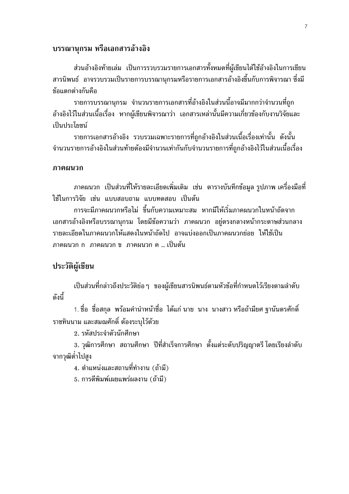#### บรรณานกรม หรือเอกสารอ้างอิง

้ส่วนอ้างอิงท้ายเล่ม เป็นการรวบรวมรายการเอกสารทั้งหมดที่ผู้เขียนได้ใช้อ้างอิงในการเขียน ี่สารนิพนธ์ อาจรวบรวมเป็นรายการบรรณานุกรมหรือรายการเอกสารอ้างอิงขึ้นกับการพิจารณา ซึ่งมี ข้อแตกต่างกันคือ

ี รายการบรรณานุกรม จำนวนรายการเอกสารที่อ้างอิงในส่วนนี้อาจมีมากกว่าจำนวนที่ถูก ้อ้างอิงไว้ในส่วนเนื้อเรื่อง หากผู้เขียนพิจารณาว่า เอกสารเหล่านั้นมีความเกี่ยวข้องกับงานวิจัยและ เป็นประโยชน์

รายการเอกสารอ้างอิง รวบรวมเฉพาะรายการที่ถูกอ้างอิงในส่วนเนื้อเรื่องเท่านั้น ดังนั้น จำนวนรายการอ้างอิงในส่วนท้ายต้องมีจำนวนเท่ากันกับจำนวนรายการที่ถูกอ้างอิงไว้ในส่วนเนื้อเรื่อง

#### ภาคผนวก

ิภาคผนวก เป็นส่วนที่ให้รายละเอียดเพิ่มเติม เช่น ตารางบันทึกข้อมูล รูปภาพ เครื่องมือที่ ใช้ในการวิจัย เช่น แบบสอบถาม แบบทดสอบ เป็นต้น

การจะมีภาคผนวกหรือไม่ ขึ้นกับความเหมาะสม หากมีให้เริ่มภาคผนวกในหน้าถัดจาก ีเอกสารอ้างอิงหรือบรรณานุกรม โดยมีข้อความว่า ภาคผนวก อยู่ตรงกลางหน้ากระดาษส่วนกลาง ี รายละเอียดในภาคผนวกให้แสดงในหน้าถัดไป อาจแบ่งออกเป็นภาคผนวกย่อย ให้ใช้เป็น ภาคผนวก ก ภาคผนวก ข ภาคผนวก ค ... เป็นต้น

#### ประวัติผู้เขียน

้เป็นส่วนที่กล่าวถึงประวัติย่อ ๆ ของผู้เขียนสารนิพนธ์ตามหัวข้อที่กำหนดไว้เรียงตามลำดับ ดังขึ้

1. ชื่อ ชื่อสกุล พร้อมคำนำหน้าชื่อ ได้แก่ นาย นาง นางสาว หรือถ้ามียศ ฐานันดรศักดิ์ ราชทินนาม และสมณศักดิ์ ต้องระบไว้ด้วย

2. รหัสประจำตัวนักศึกษา

3. วุฒิการศึกษา สถานศึกษา ปีที่สำเร็จการศึกษา ตั้งแต่ระดับปริญญาตรี โดยเรียงลำดับ จากวฒิต่ำไปสง

4. ตำแหน่งและสถานที่ทำงาน (ถ้ามี)

5. การตีพิมพ์เผยแพร่ผลงาน (ถ้ามี)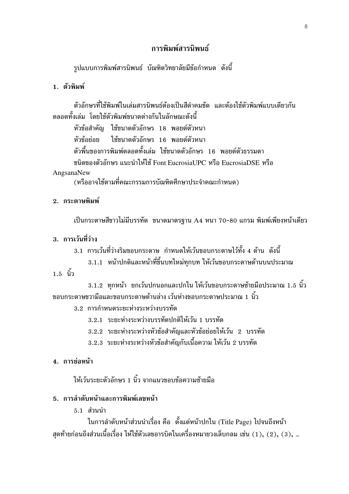### การพิมพ์สารบิพบธ์

้รูปแบบการพิมพ์สารนิพนธ์ บัณฑิตวิทยาลัยมีข้อกำหนด ดังนี้

#### 1 ตัาพิมพ์

้ตัวอักษรที่ใช้พิมพ์ในเล่มสารนิพนธ์ต้องเป็นสีดำคมชัด และต้องใช้ตัวพิมพ์แบบเดียวกัน ตลอดทั้งเล่ม โดยใช้ตัวพิมพ์ขนาดต่างกันในลักษณะดังนี้

หัวข้อสำคัญ ใช้ขนาดตัวอักษร 18 พอยต์ตัวหนา หัวข้อย่อย ใช้ขนาดตัวอักษร 16 พอยต์ตัวหนา ้ตัวพื้นของการพิมพ์ตลอดทั้งเล่ม ใช้ขนาดตัวอักษร 16 พอยต์ตัวธรรมดา หนิดของตัวอักษร แนะนำให้ใช้ Font EucrosiaUPC หรือ EucrosiaDSE หรือ

#### AngsanaNew

(หรืออาจใช้ตามที่คณะกรรมการบัณฑิตศึกษาประจำคณะกำหนด)

#### 2. กระดาษพิมพ์

เป็นกระดาษสีขาวไม่มีบรรทัด ขนาดมาตรฐาน A4 หนา 70-80 แกรม พิมพ์เพียงหน้าเดียว

.<br>3. การเว้นที่ว่าง

3.1 การเว้นที่ว่างริมขอบกระดาษ กำหนดให้เว้นขอบกระดาษไว้ทั้ง 4 ด้าน ดังนี้

3.1.1 หน้าปกติและหน้าที่ขึ้นบทใหม่ทุกบท ให้เว้นขอบกระดาษด้านบนประมาณ

1.5 <sup>ก้ำ</sup>

3.1.2 ทุกหน้า ยกเว้นปกนอกและปกใน ให้เว้นขอบกระดาษซ้ายมือประมาณ 1.5 นิ้ว ีขอบกระดาษขวามือและขอบกระดาษด้านล่าง เว้นห่างขอบกระดาษประมาณ 1 นิ้ว

3.2 การกำหนดระยะห่างระหว่างบรรทัด

- 3.2.1 ระยะห่างระหว่างบรรทัดปกติให้เว้น 1 บรรทัด
- 3.2.2 ระยะห่างระหว่างหัวข้อสำคัญและหัวข้อย่อยให้เว้น 2 บรรทัด
- 3.2.3 ระยะห่างระหว่างหัวข้อสำคัญกับเนื้อความ ให้เว้น 2 บรรทัด

#### 4. การย่อหน้า

ให้เว้นระยะตัวอักษร 1 นิ้ว จากแนวขอบข้อความซ้ายมือ

#### 5. การลำดับหน้าและการพิมพ์เลขหน้า

 $5.1$  ส่วนนำ

ในการลำดับหน้าส่วนนำเรื่อง คือ ตั้งแต่หน้าปกใน (Title Page) ไปจนถึงหน้า ี่สดท้ายก่อนถึงส่วนเนื้อเรื่อง ให้ใช้ตัวเลขอารบิคในเครื่องหมายวงเล็บกลม เช่น (1), (2), (3), …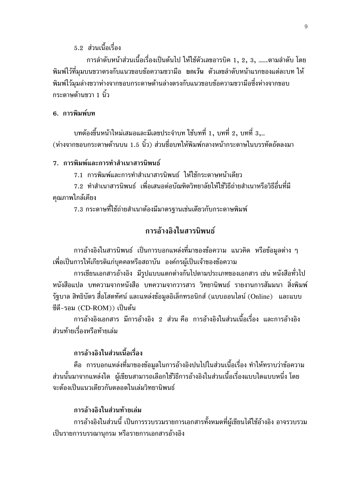5.2 ส่วนเนื้อเรื่อง

การลำดับหน้าส่วนเนื้อเรื่องเป็นต้นไป ให้ใช้ตัวเลขอารบิค 1, 2, 3, .......ตามลำดับ โดย ี พิมพ์ไว้ที่มุมบนขวาตรงกับแนวขอบข้อความขวามือ ยกเว้น ตัวเลขลำดับหน้าแรกของแต่ละบท ให้ พิมพ์ไว้มุมล่างขวาห่างจากขอบกระดาษด้านล่างตรงกับแนวขอบข้อความขวามือซึ่งห่างจากขอบ ึกระดาษด้านขวา 1 นิ้ว

#### 6. การพิมพ์บท

ิบทต้องขึ้นหน้าใหม่เสมอและมีเลขประจำบท ใช้บทที่ 1, บทที่ 2, บทที่ 3,... (ห่างจากขอบกระดาษด้านบน 1.5 นิ้ว) ส่วนชื่อบทให้พิมพ์กลางหน้ากระดาษในบรรทัดถัดลงมา

#### 7. การพิมพ์และการทำสำเนาสารนิพนธ์

7.1 การพิมพ์และการทำสำเนาสารนิพนธ์ ให้ใช้กระดาษหน้าเดียว

7.2 ทำสำเนาสารนิพนธ์ เพื่อเสนอต่อบัณฑิตวิทยาลัยให้ใช้วิธีถ่ายสำเนาหรือวิธีอื่นที่มี คุณภาพใกล้เคียง

7.3 กระดาษที่ใช้ถ่ายสำเนาต้องมีมาตรฐานเช่นเดียวกับกระดาษพิมพ์

### การอ้างอิงในสารนิพนธ์

ิการอ้างอิงในสารนิพนธ์ เป็นการบอกแหล่งที่มาของข้อความ แนวคิด หรือข้อมูลต่าง ๆ ้เพื่อเป็นการให้เกียรติแก่บุคคลหรือสถาบัน องค์กรผู้เป็นเจ้าของข้อความ

การเขียนเอกสารอ้างอิง มีรูปแบบแตกต่างกันไปตามประเภทของเอกสาร เช่น หนังสือทั่วไป หนังสือแปล บทความจากหนังสือ บทความจากวารสาร วิทยานิพนธ์ รายงานการสัมมนา สิ่งพิมพ์ รัฐบาล สิทธิบัตร สื่อโสตทัศน์ และแหล่งข้อมูลอิเล็กทรอนิกส์ (แบบออนไลน์ (Online) และแบบ ซีดี-รอม (CD-ROM)) เป็นต้น

ิการอ้างอิงเอกสาร มีการอ้างอิง 2 ส่วน คือ การอ้างอิงใบส่วนเบื้อเรื่อง และการอ้างอิง ส่วนท้ายเรื่องหรือท้ายเล่ม

### การอ้างอิงในส่วนเนื้อเรื่อง

้คือ การบอกแหล่งที่มาของข้อมูลในการอ้างอิงปนไปในส่วนเนื้อเรื่อง ทำให้ทราบว่าข้อความ ้ส่วนนั้นมาจากแหล่งใด ผู้เขียนสามารถเลือกใช้วิธีการอ้างอิงในส่วนเนื้อเรื่องแบบใดแบบหนึ่ง โดย จะต้องเป็นแนวเดียวกันตลอดในเล่มวิทยานิพนธ์

#### การล้างลิงในส่วนท้ายเล่ม

ึการอ้างอิงในส่วนนี้ เป็นการรวบรวมรายการเอกสารทั้งหมดที่ผ้เขียนได้ใช้อ้างอิง อาจรวบรวม เป็นรายการบรรณานุกรม หรือรายการเอกสารอ้างอิง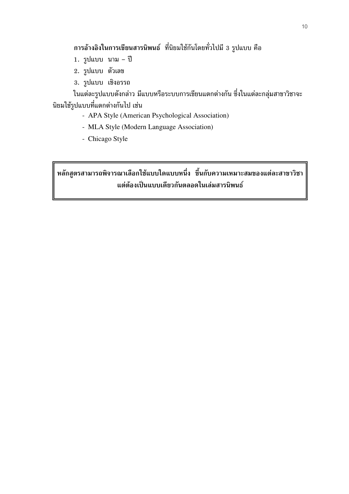ี การอ้างอิงในการเขียนสารนิพนธ์ ที่นิยมใช้กันโดยทั่วไปมี 3 รูปแบบ คือ

- 1. รูปแบบ นาม ปี
- 2. รูปแบบ ตัวเลข
- 3. รูปแบบ เชิงอรรถ

ในแต่ละรูปแบบดังกล่าว มีแบบหรือระบบการเขียนแตกต่างกัน ซึ่งในแต่ละกลุ่มสาขาวิชาจะ นิยมใช้รูปแบบที่แตกต่างกันไป เช่น

- APA Style (American Psychological Association)
- MLA Style (Modern Language Association)
- Chicago Style

หลักสูตรสามารถพิจารณาเลือกใช้แบบใดแบบหนึ่ง ขึ้นกับความเหมาะสมของแต่ละสาขาวิชา แต่ต้องเป็นแบบเดียวกันตลอดในเล่มสารนิพนธ์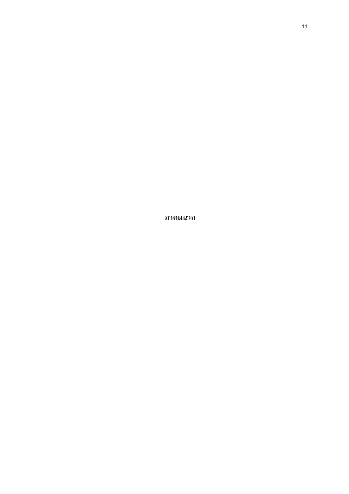ภาคผนวก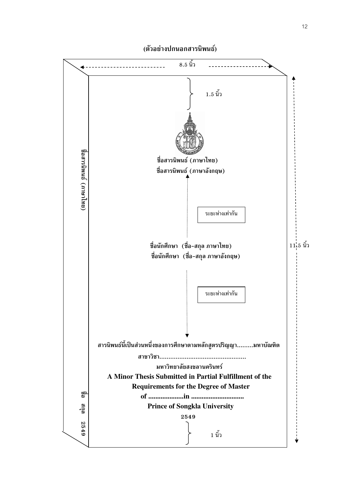

#### (ตัวอย่างปกนอกสารนิพนธ์)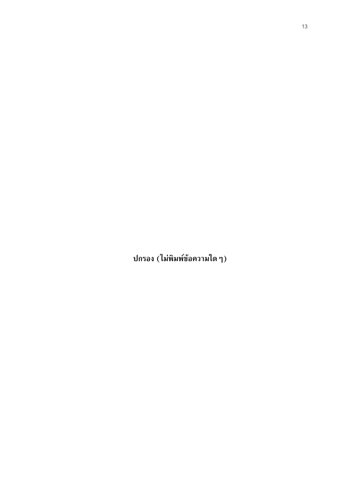ปกรอง (ไม่พิมพ์ข้อความใด ๆ)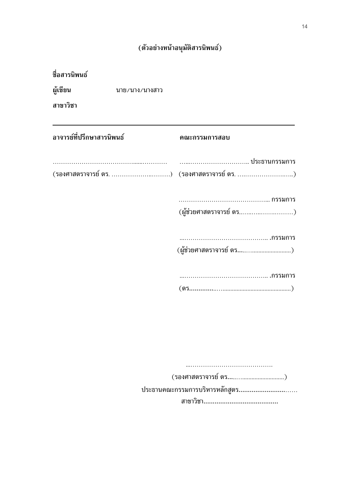# (ตัวอย่างหน้าอนุมัติสารนิพนธ์)

| ชื่อสารนิพนธ์             |                |                                             |
|---------------------------|----------------|---------------------------------------------|
| ผู้เขียน                  | นาย/นาง/นางสาว |                                             |
| สาขาวิชา                  |                |                                             |
| อาจารย์ที่ปรึกษาสารนิพนธ์ |                | คณะกรรมการสอบ                               |
|                           |                |                                             |
|                           |                | (รองศาสตราจารย์ ดร. ) (รองศาสตราจารย์ ดร. ) |
|                           |                |                                             |
|                           |                | (ผู้ช่วยศาสตราจารย์ ดร)                     |
|                           |                |                                             |
|                           |                | (ผู้ช่วยศาสตราจารย์ ดร)                     |
|                           |                |                                             |
|                           |                |                                             |
|                           |                |                                             |
|                           |                |                                             |
|                           |                |                                             |
|                           |                |                                             |
|                           |                |                                             |
|                           |                | ประธานคณะกรรมการบริหารหลักสูตร              |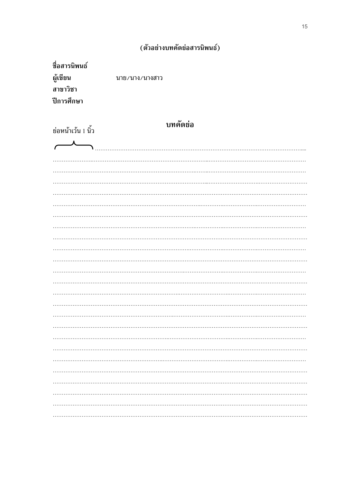## (ตัวอย่างบทคัดย่อสารนิพนธ์)

| ชื่อสารนิพนธ์ |                |
|---------------|----------------|
| ผู้เขียน      | นาย/นาง/นางสาว |
| สาขาวิชา      |                |
| ปีการศึกษา    |                |
|               |                |

| ย่อหน้าเว้น 1 นิ้ว     | <b>บทคัดย่อ</b> |
|------------------------|-----------------|
| $\boldsymbol{\lambda}$ |                 |
|                        |                 |
|                        |                 |
|                        |                 |
|                        |                 |
|                        |                 |
|                        |                 |
|                        |                 |
|                        |                 |
|                        |                 |
|                        |                 |
|                        |                 |
|                        |                 |
|                        |                 |
|                        |                 |
|                        |                 |
|                        |                 |
|                        |                 |
|                        |                 |
|                        |                 |
|                        |                 |
|                        |                 |
|                        |                 |
|                        |                 |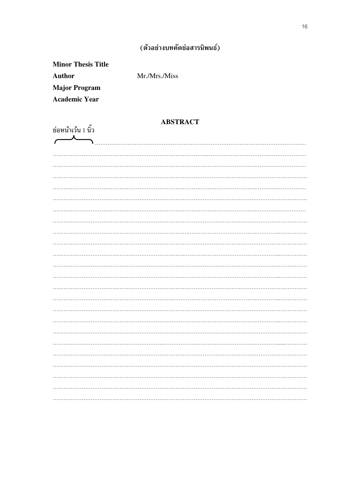### (ตัวอย่างบทคัดย่อสารนิพนธ์)

**Minor Thesis Title Author Major Program Academic Year** 

Mr./Mrs./Miss

#### **ABSTRACT**

|                          |  | <b>ADOIMACI</b> |  |  |
|--------------------------|--|-----------------|--|--|
| ย่อหน้าเว้น 1 นิ้ว       |  |                 |  |  |
| $\overline{\phantom{a}}$ |  |                 |  |  |
|                          |  |                 |  |  |
|                          |  |                 |  |  |
|                          |  |                 |  |  |
|                          |  |                 |  |  |
|                          |  |                 |  |  |
|                          |  |                 |  |  |
|                          |  |                 |  |  |
|                          |  |                 |  |  |
|                          |  |                 |  |  |
|                          |  |                 |  |  |
|                          |  |                 |  |  |
|                          |  |                 |  |  |
|                          |  |                 |  |  |
|                          |  |                 |  |  |
|                          |  |                 |  |  |
|                          |  |                 |  |  |
|                          |  |                 |  |  |
|                          |  |                 |  |  |
|                          |  |                 |  |  |
|                          |  |                 |  |  |
|                          |  |                 |  |  |
|                          |  |                 |  |  |
|                          |  |                 |  |  |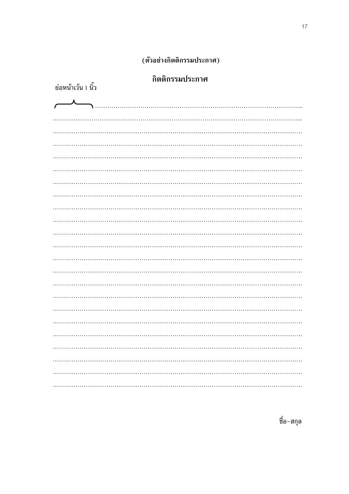### (ตัวอย่างกิตติกรรมประกาศ)

| กิตติกรรมประกาศ |  |
|-----------------|--|

| ย่อหน้าเว้น 1 นิ้ว       | <b>HAIMHI 9 904 N 9041 1 I.H</b> |
|--------------------------|----------------------------------|
| $\overline{\phantom{a}}$ |                                  |
|                          |                                  |
|                          |                                  |
|                          |                                  |
|                          |                                  |
|                          |                                  |
|                          |                                  |
|                          |                                  |
|                          |                                  |
|                          |                                  |
|                          |                                  |
|                          |                                  |
|                          |                                  |
|                          |                                  |
|                          |                                  |
|                          |                                  |
|                          |                                  |
|                          |                                  |
|                          |                                  |

ชื่อ-สกุล